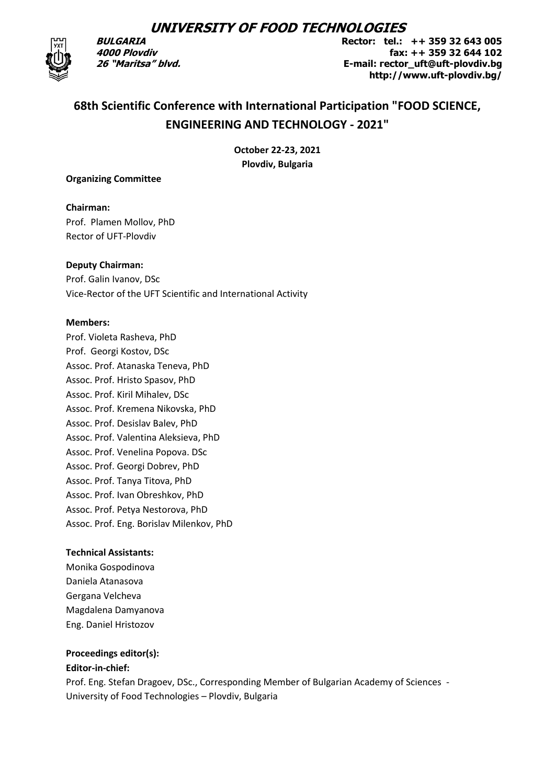## **UNIVERSITY OF FOOD TECHNOLOGIES**



**BULGARIA 4000 Plovdiv 26 "Мaritsa" blvd.**  **Rector: tel.: ++ 359 32 643 005 fax: ++ 359 32 644 102 Е-mail: геctor\_uft@uft-plovdiv.bg http://www.uft-plovdiv.bg/**

# **68th Scientific Conference with International Participation "FOOD SCIENCE, ENGINEERING AND TECHNOLOGY - 2021"**

**October 22-23, 2021 Plovdiv, Bulgaria**

#### **Organizing Committee**

**Chairman:** Prof. Plamen Mollov, PhD Rector of UFT-Plovdiv

#### **Deputy Chairman:**

Prof. Galin Ivanov, DSc Vice-Rector of the UFT Scientific and International Activity

#### **Members:**

Prof. Violeta Rasheva, PhD Prof. Georgi Kostov, DSc Assoc. Prof. Atanaska Teneva, PhD Assoc. Prof. Hristo Spasov, PhD Assoc. Prof. Kiril Mihalev, DSc Assoc. Prof. Kremena Nikovska, PhD Assoc. Prof. Desislav Balev, PhD Assoc. Prof. Valentina Aleksieva, PhD Assoc. Prof. Venelina Popova. DSc Assoc. Prof. Georgi Dobrev, PhD Assoc. Prof. Tanya Titova, PhD Assoc. Prof. Ivan Obreshkov, PhD Assoc. Prof. Petya Nestorova, PhD Assoc. Prof. Eng. Borislav Milenkov, PhD

## **Technical Assistants:**

Monika Gospodinova Daniela Atanasova Gergana Velcheva Magdalena Damyanova Eng. Daniel Hristozov

## **Proceedings editor(s):**

## **Editor-in-chief:**

Prof. Eng. Stefan Dragoev, DSc., Corresponding Member of Bulgarian Academy of Sciences - University of Food Technologies – Plovdiv, Bulgaria